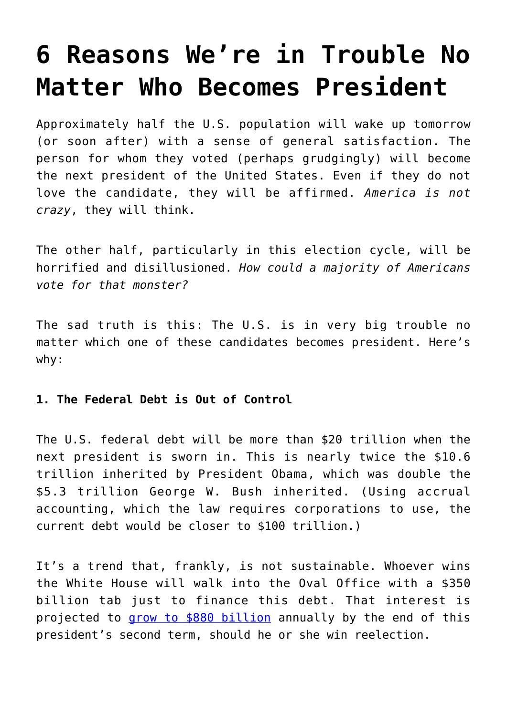# **[6 Reasons We're in Trouble No](https://intellectualtakeout.org/2016/11/6-reasons-were-in-trouble-no-matter-who-becomes-president/) [Matter Who Becomes President](https://intellectualtakeout.org/2016/11/6-reasons-were-in-trouble-no-matter-who-becomes-president/)**

Approximately half the U.S. population will wake up tomorrow (or soon after) with a sense of general satisfaction. The person for whom they voted (perhaps grudgingly) will become the next president of the United States. Even if they do not love the candidate, they will be affirmed. *America is not crazy*, they will think.

The other half, particularly in this election cycle, will be horrified and disillusioned. *How could a majority of Americans vote for that monster?*

The sad truth is this: The U.S. is in very big trouble no matter which one of these candidates becomes president. Here's why:

# **1. The Federal Debt is Out of Control**

The U.S. federal debt will be more than \$20 trillion when the next president is sworn in. This is nearly twice the \$10.6 trillion inherited by President Obama, which was double the \$5.3 trillion George W. Bush inherited. (Using accrual accounting, which the law requires corporations to use, the current debt would be closer to \$100 trillion.)

It's a trend that, frankly, is not sustainable. Whoever wins the White House will walk into the Oval Office with a \$350 billion tab just to finance this debt. That interest is projected to [grow to \\$880 billion](https://www.intellectualtakeout.org/blog/10-federal-debt-facts-will-make-you-feel-queasy) annually by the end of this president's second term, should he or she win reelection.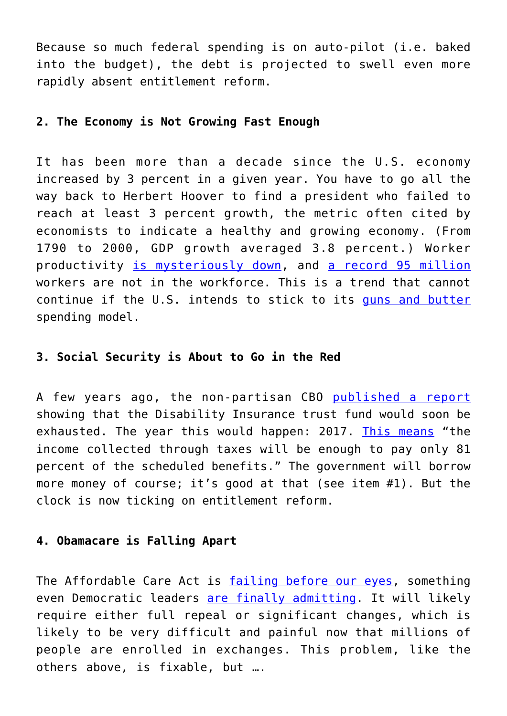Because so much federal spending is on auto-pilot (i.e. baked into the budget), the debt is projected to swell even more rapidly absent entitlement reform.

# **2. The Economy is Not Growing Fast Enough**

It has been more than a decade since the U.S. economy increased by 3 percent in a given year. You have to go all the way back to Herbert Hoover to find a president who failed to reach at least 3 percent growth, the metric often cited by economists to indicate a healthy and growing economy. (From 1790 to 2000, GDP growth averaged 3.8 percent.) Worker productivity [is mysteriously down,](https://www.intellectualtakeout.org/blog/harvard-prof-us-productivity-shutting-down) and [a record 95 million](http://data.bls.gov/timeseries/LNS15000000) workers are not in the workforce. This is a trend that cannot continue if the U.S. intends to stick to its [guns and butter](https://en.wikipedia.org/wiki/Guns_versus_butter_model) spending model.

# **3. Social Security is About to Go in the Red**

A few years ago, the non-partisan CBO [published a report](https://www.cbo.gov/sites/default/files/114th-congress-2015-2016/reports/50250/50250-breakout-Chapter3.pdf) showing that the Disability Insurance trust fund would soon be exhausted. The year this would happen: 2017. [This means](http://blog.ssa.gov/trust-fund-reserve-gains-one-year-for-projected-depletion-date/) "the income collected through taxes will be enough to pay only 81 percent of the scheduled benefits." The government will borrow more money of course; it's good at that (see item #1). But the clock is now ticking on entitlement reform.

#### **4. Obamacare is Falling Apart**

The Affordable Care Act is [failing before our eyes](https://www.intellectualtakeout.org/blog/obamacare-failing-our-eyes), something even Democratic leaders [are finally admitting.](https://www.intellectualtakeout.org/blog/bill-clinton-calls-obamacare-craziest-thing-world) It will likely require either full repeal or significant changes, which is likely to be very difficult and painful now that millions of people are enrolled in exchanges. This problem, like the others above, is fixable, but ….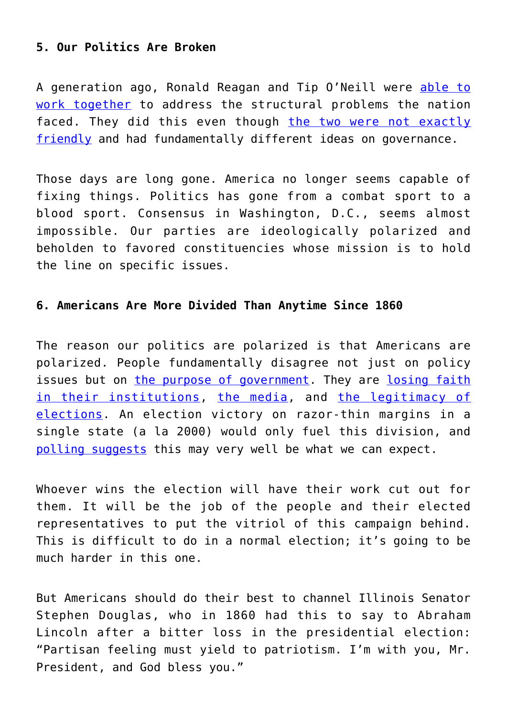## **5. Our Politics Are Broken**

A generation ago, Ronald Reagan and Tip O'Neill were [able to](http://thehill.com/blogs/pundits-blog/lawmaker-news/235409-how-ronald-reagan-and-tip-oneill-would-make-this-congress) [work together](http://thehill.com/blogs/pundits-blog/lawmaker-news/235409-how-ronald-reagan-and-tip-oneill-would-make-this-congress) to address the structural problems the nation faced. They did this even though [the two were not exactly](https://campaignstops.blogs.nytimes.com/2012/10/05/frenemies-a-love-story/?_r=0) [friendly](https://campaignstops.blogs.nytimes.com/2012/10/05/frenemies-a-love-story/?_r=0) and had fundamentally different ideas on governance.

Those days are long gone. America no longer seems capable of fixing things. Politics has gone from a combat sport to a blood sport. Consensus in Washington, D.C., seems almost impossible. Our parties are ideologically polarized and beholden to favored constituencies whose mission is to hold the line on specific issues.

#### **6. Americans Are More Divided Than Anytime Since 1860**

The reason our politics are polarized is that Americans are polarized. People fundamentally disagree not just on policy issues but on [the purpose of government](http://www.learnliberty.org/videos/positive-rights-vs-negative-rights/). They are [losing faith](http://www.gallup.com/poll/192581/americans-confidence-institutions-stays-low.aspx) [in their institutions](http://www.gallup.com/poll/192581/americans-confidence-institutions-stays-low.aspx), [the media](http://www.gallup.com/poll/195542/americans-trust-mass-media-sinks-new-low.aspx), and [the legitimacy of](http://ap-gfkpoll.com/featured/ap-gfk-poll-most-trump-supporters-doubt-election-legitimacy) [elections.](http://ap-gfkpoll.com/featured/ap-gfk-poll-most-trump-supporters-doubt-election-legitimacy) An election victory on razor-thin margins in a single state (a la 2000) would only fuel this division, and [polling suggests](http://www.realclearpolitics.com/epolls/2016/president/2016_elections_electoral_college_map_no_toss_ups.html) this may very well be what we can expect.

Whoever wins the election will have their work cut out for them. It will be the job of the people and their elected representatives to put the vitriol of this campaign behind. This is difficult to do in a normal election; it's going to be much harder in this one.

But Americans should do their best to channel Illinois Senator Stephen Douglas, who in 1860 had this to say to Abraham Lincoln after a bitter loss in the presidential election: "Partisan feeling must yield to patriotism. I'm with you, Mr. President, and God bless you."